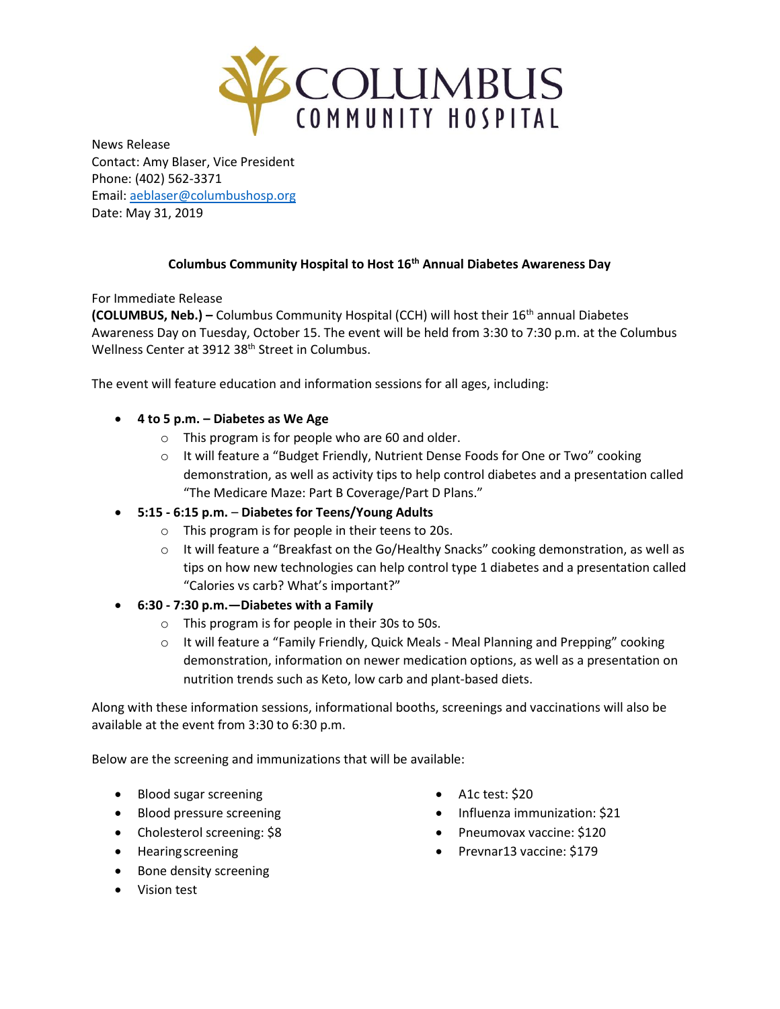

News Release Contact: Amy Blaser, Vice President Phone: (402) 562-3371 Email: [aeblaser@columbushosp.org](mailto:aeblaser@columbushosp.org) Date: May 31, 2019

## **Columbus Community Hospital to Host 16th Annual Diabetes Awareness Day**

For Immediate Release

**(COLUMBUS, Neb.) –** Columbus Community Hospital (CCH) will host their 16th annual Diabetes Awareness Day on Tuesday, October 15. The event will be held from 3:30 to 7:30 p.m. at the Columbus Wellness Center at 3912 38<sup>th</sup> Street in Columbus.

The event will feature education and information sessions for all ages, including:

- **4 to 5 p.m. – Diabetes as We Age** 
	- o This program is for people who are 60 and older.
	- o It will feature a "Budget Friendly, Nutrient Dense Foods for One or Two" cooking demonstration, as well as activity tips to help control diabetes and a presentation called "The Medicare Maze: Part B Coverage/Part D Plans."
- **5:15 - 6:15 p.m. Diabetes for Teens/Young Adults** 
	- o This program is for people in their teens to 20s.
	- $\circ$  It will feature a "Breakfast on the Go/Healthy Snacks" cooking demonstration, as well as tips on how new technologies can help control type 1 diabetes and a presentation called "Calories vs carb? What's important?"
- **6:30 - 7:30 p.m.—Diabetes with a Family** 
	- o This program is for people in their 30s to 50s.
	- o It will feature a "Family Friendly, Quick Meals Meal Planning and Prepping" cooking demonstration, information on newer medication options, as well as a presentation on nutrition trends such as Keto, low carb and plant-based diets.

Along with these information sessions, informational booths, screenings and vaccinations will also be available at the event from 3:30 to 6:30 p.m.

Below are the screening and immunizations that will be available:

- Blood sugar screening
- Blood pressure screening
- Cholesterol screening: \$8
- **•** Hearing screening
- Bone density screening
- Vision test
- A1c test: \$20
- Influenza immunization: \$21
- Pneumovax vaccine: \$120
- Prevnar13 vaccine: \$179